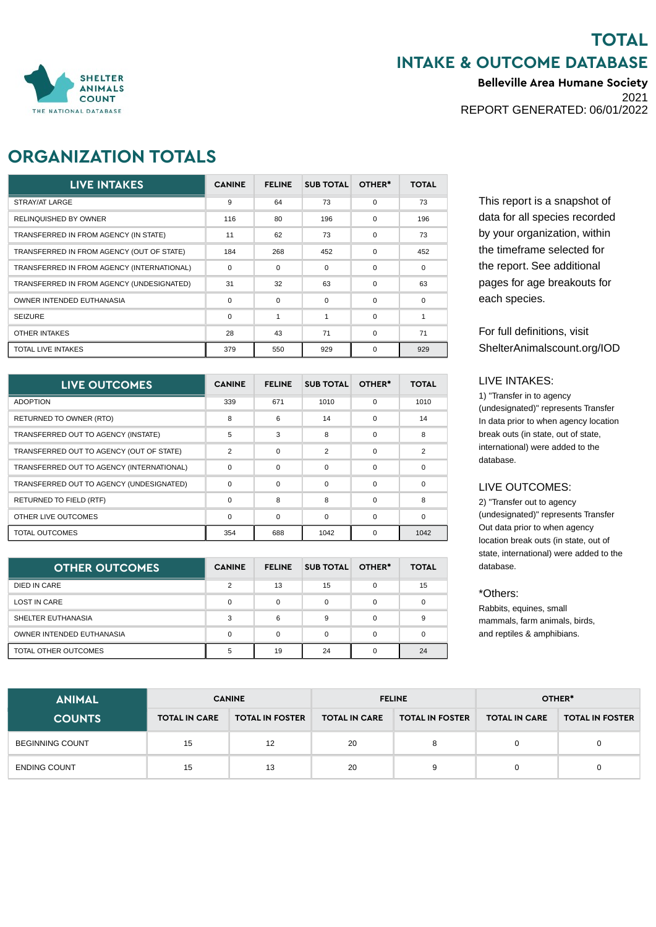## **TOTAL INTAKE & OUTCOME DATABASE**

**Belleville Area Humane Society** 2021 REPORT GENERATED: 06/01/2022



## **ORGANIZATION TOTALS**

| <b>LIVE INTAKES</b>                        | <b>CANINE</b> | <b>FELINE</b> | <b>SUB TOTAL</b> | OTHER*   | <b>TOTAL</b> |
|--------------------------------------------|---------------|---------------|------------------|----------|--------------|
| STRAY/AT LARGE                             | 9             | 64            | 73               | $\Omega$ | 73           |
| <b>RELINQUISHED BY OWNER</b>               | 116           | 80            | 196              | $\Omega$ | 196          |
| TRANSFERRED IN FROM AGENCY (IN STATE)      | 11            | 62            | 73               | $\Omega$ | 73           |
| TRANSFERRED IN FROM AGENCY (OUT OF STATE)  | 184           | 268           | 452              | $\Omega$ | 452          |
| TRANSFERRED IN FROM AGENCY (INTERNATIONAL) | 0             | $\mathbf 0$   | $\Omega$         | $\Omega$ | $\mathbf 0$  |
| TRANSFERRED IN FROM AGENCY (UNDESIGNATED)  | 31            | 32            | 63               | $\Omega$ | 63           |
| OWNER INTENDED EUTHANASIA                  | $\Omega$      | $\mathbf 0$   | $\Omega$         | $\Omega$ | $\Omega$     |
| <b>SEIZURE</b>                             | 0             | 1             | 1                | $\Omega$ |              |
| <b>OTHER INTAKES</b>                       | 28            | 43            | 71               | $\Omega$ | 71           |
| <b>TOTAL LIVE INTAKES</b>                  | 379           | 550           | 929              | $\Omega$ | 929          |

| LIVE OUTCOMES                             | <b>CANINE</b>  | <b>FELINE</b> | <b>SUB TOTAL</b> | OTHER*   | <b>TOTAL</b>  |
|-------------------------------------------|----------------|---------------|------------------|----------|---------------|
| <b>ADOPTION</b>                           | 339            | 671           | 1010             | $\Omega$ | 1010          |
| RETURNED TO OWNER (RTO)                   | 8              | 6             | 14               | $\Omega$ | 14            |
| TRANSFERRED OUT TO AGENCY (INSTATE)       | 5              | 3             | 8                | $\Omega$ | 8             |
| TRANSFERRED OUT TO AGENCY (OUT OF STATE)  | $\overline{2}$ | $\mathbf 0$   | $\mathcal{P}$    | $\Omega$ | $\mathcal{P}$ |
| TRANSFERRED OUT TO AGENCY (INTERNATIONAL) | 0              | $\Omega$      | $\Omega$         | $\Omega$ | $\Omega$      |
| TRANSFERRED OUT TO AGENCY (UNDESIGNATED)  | 0              | $\mathbf 0$   | $\Omega$         | $\Omega$ | $\Omega$      |
| <b>RETURNED TO FIELD (RTF)</b>            | 0              | 8             | 8                | $\Omega$ | 8             |
| OTHER LIVE OUTCOMES                       | $\Omega$       | $\Omega$      | $\Omega$         | $\Omega$ | $\Omega$      |
| <b>TOTAL OUTCOMES</b>                     | 354            | 688           | 1042             | $\Omega$ | 1042          |

| <b>OTHER OUTCOMES</b>     | <b>CANINE</b> | <b>FELINE</b> | <b>SUB TOTAL</b> | OTHER* | <b>TOTAL</b> |
|---------------------------|---------------|---------------|------------------|--------|--------------|
| DIED IN CARE              | $\mathcal{P}$ | 13            | 15               |        | 15           |
| <b>LOST IN CARE</b>       | 0             | 0             |                  |        |              |
| SHELTER EUTHANASIA        | 3             | 6             | 9                |        | 9            |
| OWNER INTENDED EUTHANASIA | 0             | 0             |                  |        |              |
| TOTAL OTHER OUTCOMES      | 5             | 19            | 24               |        | 24           |

This report is a snapshot of data for all species recorded by your organization, within the timeframe selected for the report. See additional pages for age breakouts for each species.

For full definitions, visit ShelterAnimalscount.org/IOD

#### LIVE INTAKES:

1) "Transfer in to agency (undesignated)" represents Transfer In data prior to when agency location break outs (in state, out of state, international) were added to the database.

### LIVE OUTCOMES:

2) "Transfer out to agency (undesignated)" represents Transfer Out data prior to when agency location break outs (in state, out of state, international) were added to the database.

#### \*Others:

Rabbits, equines, small mammals, farm animals, birds, and reptiles & amphibians.

| <b>ANIMAL</b> |  |
|---------------|--|

| <b>ANIMAL</b>          |                      | <b>CANINE</b>          |                      | <b>FELINE</b>          | OTHER*               |                        |  |
|------------------------|----------------------|------------------------|----------------------|------------------------|----------------------|------------------------|--|
| <b>COUNTS</b>          | <b>TOTAL IN CARE</b> | <b>TOTAL IN FOSTER</b> | <b>TOTAL IN CARE</b> | <b>TOTAL IN FOSTER</b> | <b>TOTAL IN CARE</b> | <b>TOTAL IN FOSTER</b> |  |
| <b>BEGINNING COUNT</b> | 15                   | 12                     | 20                   | 8                      | 0                    |                        |  |
| <b>ENDING COUNT</b>    | 15                   | 13                     | 20                   | 9                      | 0                    |                        |  |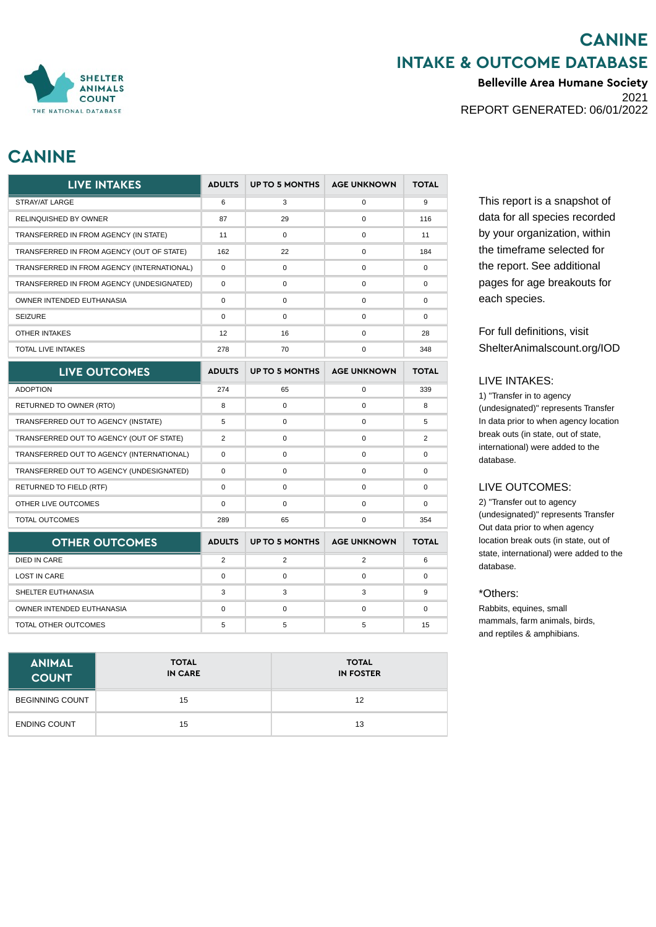## **CANINE INTAKE & OUTCOME DATABASE**

**Belleville Area Humane Society** 2021 REPORT GENERATED: 06/01/2022

# **CANINE**

| <b>LIVE INTAKES</b>                        | <b>ADULTS</b> | <b>UP TO 5 MONTHS</b> | <b>AGE UNKNOWN</b>  | <b>TOTAL</b>   |
|--------------------------------------------|---------------|-----------------------|---------------------|----------------|
| STRAY/AT LARGE                             | 6             | 3                     | $\mathbf 0$         | $9\,$          |
| RELINQUISHED BY OWNER                      | 87            | 29                    | $\mathsf{O}\xspace$ | 116            |
| TRANSFERRED IN FROM AGENCY (IN STATE)      | 11            | 0                     | $\mathbf 0$         | 11             |
| TRANSFERRED IN FROM AGENCY (OUT OF STATE)  | 162           | 22                    | $\mathsf{O}\xspace$ | 184            |
| TRANSFERRED IN FROM AGENCY (INTERNATIONAL) | $\mathbf 0$   | 0                     | 0                   | $\mathbf 0$    |
| TRANSFERRED IN FROM AGENCY (UNDESIGNATED)  | $\pmb{0}$     | 0                     | $\mathsf{O}\xspace$ | $\pmb{0}$      |
| OWNER INTENDED EUTHANASIA                  | 0             | 0                     | $\mathbf 0$         | 0              |
| <b>SEIZURE</b>                             | $\pmb{0}$     | 0                     | $\mathsf{O}\xspace$ | $\pmb{0}$      |
| <b>OTHER INTAKES</b>                       | 12            | 16                    | $\mathbf 0$         | 28             |
| <b>TOTAL LIVE INTAKES</b>                  | 278           | 70                    | 0                   | 348            |
| LIVE OUTCOMES                              | <b>ADULTS</b> | <b>UP TO 5 MONTHS</b> | <b>AGE UNKNOWN</b>  | <b>TOTAL</b>   |
| <b>ADOPTION</b>                            | 274           | 65                    | $\mathbf 0$         | 339            |
| RETURNED TO OWNER (RTO)                    | 8             | 0                     | $\mathsf{O}\xspace$ | 8              |
| TRANSFERRED OUT TO AGENCY (INSTATE)        | 5             | 0                     | $\mathbf 0$         | 5              |
| TRANSFERRED OUT TO AGENCY (OUT OF STATE)   | 2             | 0                     | $\mathsf{O}\xspace$ | $\overline{c}$ |
| TRANSFERRED OUT TO AGENCY (INTERNATIONAL)  | $\mathbf 0$   | 0                     | 0                   | 0              |
| TRANSFERRED OUT TO AGENCY (UNDESIGNATED)   | $\pmb{0}$     | 0                     | $\mathsf{O}\xspace$ | 0              |
| <b>RETURNED TO FIELD (RTF)</b>             | 0             | 0                     | $\mathbf 0$         | 0              |
| OTHER LIVE OUTCOMES                        | $\pmb{0}$     | 0                     | $\mathsf{O}\xspace$ | $\mathbf 0$    |
| TOTAL OUTCOMES                             | 289           | 65                    | 0                   | 354            |
| <b>OTHER OUTCOMES</b>                      | <b>ADULTS</b> | <b>UP TO 5 MONTHS</b> | <b>AGE UNKNOWN</b>  | <b>TOTAL</b>   |
| <b>DIED IN CARE</b>                        | 2             | $\overline{2}$        | 2                   | 6              |
| <b>LOST IN CARE</b>                        | $\Omega$      | 0                     | 0                   | 0              |
| SHELTER EUTHANASIA                         | 3             | 3                     | 3                   | 9              |
| OWNER INTENDED EUTHANASIA                  | 0             | 0                     | 0                   | 0              |
| TOTAL OTHER OUTCOMES                       | 5             | 5                     | $5\phantom{.0}$     | 15             |

| <b>ANIMAL</b><br><b>COUNT</b> | <b>TOTAL</b><br><b>IN CARE</b> | <b>TOTAL</b><br><b>IN FOSTER</b> |
|-------------------------------|--------------------------------|----------------------------------|
| <b>BEGINNING COUNT</b>        | 15                             | 12                               |
| <b>ENDING COUNT</b>           | 15                             | 13                               |

This report is a snapshot of data for all species recorded by your organization, within the timeframe selected for the report. See additional pages for age breakouts for each species.

For full definitions, visit ShelterAnimalscount.org/IOD

### LIVE INTAKES:

1) "Transfer in to agency (undesignated)" represents Transfer In data prior to when agency location break outs (in state, out of state, international) were added to the database.

## LIVE OUTCOMES:

2) "Transfer out to agency (undesignated)" represents Transfer Out data prior to when agency location break outs (in state, out of state, international) were added to the database.

### \*Others:

Rabbits, equines, small mammals, farm animals, birds, and reptiles & amphibians.